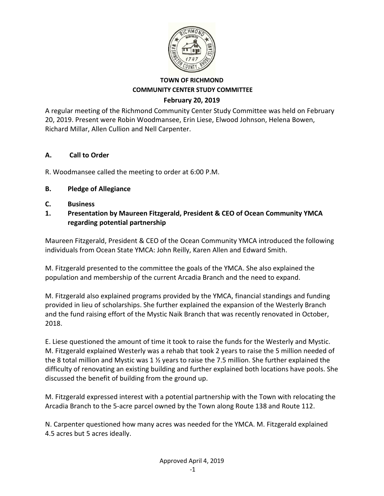

A regular meeting of the Richmond Community Center Study Committee was held on February 20, 2019. Present were Robin Woodmansee, Erin Liese, Elwood Johnson, Helena Bowen, Richard Millar, Allen Cullion and Nell Carpenter.

## **A. Call to Order**

R. Woodmansee called the meeting to order at 6:00 P.M.

## **B. Pledge of Allegiance**

- **C. Business**
- **1. Presentation by Maureen Fitzgerald, President & CEO of Ocean Community YMCA regarding potential partnership**

Maureen Fitzgerald, President & CEO of the Ocean Community YMCA introduced the following individuals from Ocean State YMCA: John Reilly, Karen Allen and Edward Smith.

M. Fitzgerald presented to the committee the goals of the YMCA. She also explained the population and membership of the current Arcadia Branch and the need to expand.

M. Fitzgerald also explained programs provided by the YMCA, financial standings and funding provided in lieu of scholarships. She further explained the expansion of the Westerly Branch and the fund raising effort of the Mystic Naik Branch that was recently renovated in October, 2018.

E. Liese questioned the amount of time it took to raise the funds for the Westerly and Mystic. M. Fitzgerald explained Westerly was a rehab that took 2 years to raise the 5 million needed of the 8 total million and Mystic was 1 ½ years to raise the 7.5 million. She further explained the difficulty of renovating an existing building and further explained both locations have pools. She discussed the benefit of building from the ground up.

M. Fitzgerald expressed interest with a potential partnership with the Town with relocating the Arcadia Branch to the 5-acre parcel owned by the Town along Route 138 and Route 112.

N. Carpenter questioned how many acres was needed for the YMCA. M. Fitzgerald explained 4.5 acres but 5 acres ideally.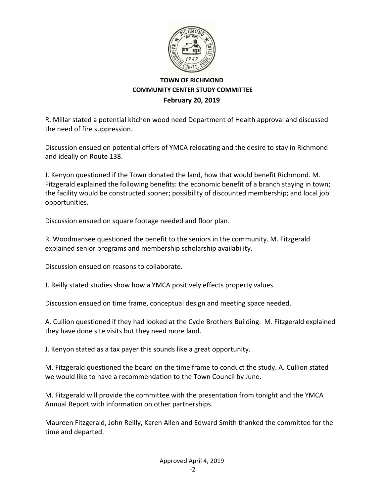

R. Millar stated a potential kitchen wood need Department of Health approval and discussed the need of fire suppression.

Discussion ensued on potential offers of YMCA relocating and the desire to stay in Richmond and ideally on Route 138.

J. Kenyon questioned if the Town donated the land, how that would benefit Richmond. M. Fitzgerald explained the following benefits: the economic benefit of a branch staying in town; the facility would be constructed sooner; possibility of discounted membership; and local job opportunities.

Discussion ensued on square footage needed and floor plan.

R. Woodmansee questioned the benefit to the seniors in the community. M. Fitzgerald explained senior programs and membership scholarship availability.

Discussion ensued on reasons to collaborate.

J. Reilly stated studies show how a YMCA positively effects property values.

Discussion ensued on time frame, conceptual design and meeting space needed.

A. Cullion questioned if they had looked at the Cycle Brothers Building. M. Fitzgerald explained they have done site visits but they need more land.

J. Kenyon stated as a tax payer this sounds like a great opportunity.

M. Fitzgerald questioned the board on the time frame to conduct the study. A. Cullion stated we would like to have a recommendation to the Town Council by June.

M. Fitzgerald will provide the committee with the presentation from tonight and the YMCA Annual Report with information on other partnerships.

Maureen Fitzgerald, John Reilly, Karen Allen and Edward Smith thanked the committee for the time and departed.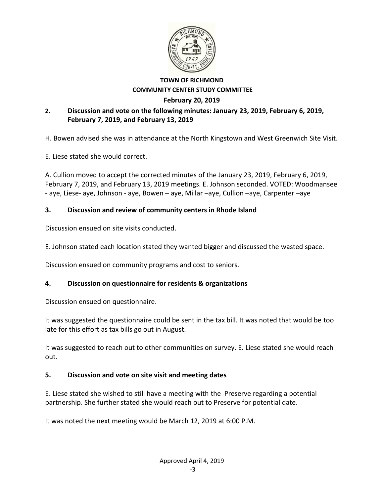

# **2. Discussion and vote on the following minutes: January 23, 2019, February 6, 2019, February 7, 2019, and February 13, 2019**

H. Bowen advised she was in attendance at the North Kingstown and West Greenwich Site Visit.

E. Liese stated she would correct.

A. Cullion moved to accept the corrected minutes of the January 23, 2019, February 6, 2019, February 7, 2019, and February 13, 2019 meetings. E. Johnson seconded. VOTED: Woodmansee ‐ aye, Liese‐ aye, Johnson ‐ aye, Bowen – aye, Millar –aye, Cullion –aye, Carpenter –aye

## **3. Discussion and review of community centers in Rhode Island**

Discussion ensued on site visits conducted.

E. Johnson stated each location stated they wanted bigger and discussed the wasted space.

Discussion ensued on community programs and cost to seniors.

# **4. Discussion on questionnaire for residents & organizations**

Discussion ensued on questionnaire.

It was suggested the questionnaire could be sent in the tax bill. It was noted that would be too late for this effort as tax bills go out in August.

It was suggested to reach out to other communities on survey. E. Liese stated she would reach out.

#### **5. Discussion and vote on site visit and meeting dates**

E. Liese stated she wished to still have a meeting with the Preserve regarding a potential partnership. She further stated she would reach out to Preserve for potential date.

It was noted the next meeting would be March 12, 2019 at 6:00 P.M.